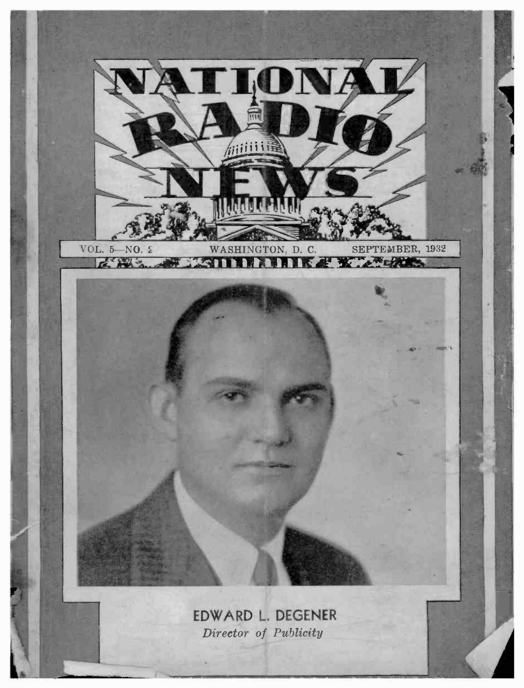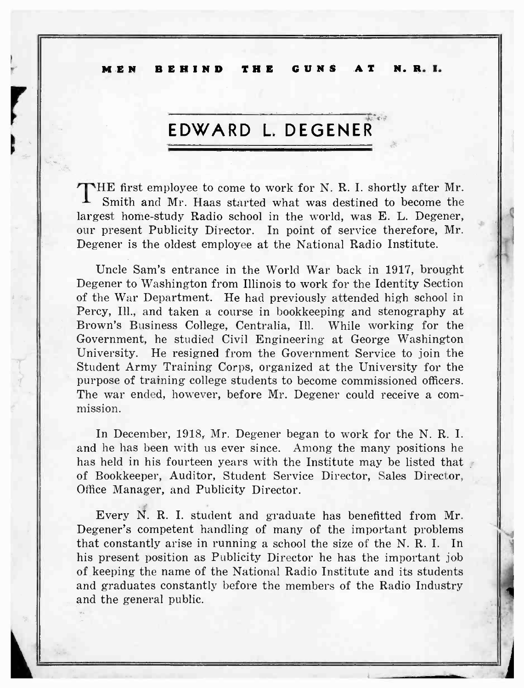### MEN BEHIND THE GUNS AT N. R. I.

### 大きい EDWARD L. DEGENER

THE first employee to come to work for N. R. I. shortly after Mr. Smith and Mr. Haas started what was destined to become the largest home-study Radio school in the world, was E. L. Degener, our present Publicity Director. In point of service therefore, Mr. Degener is the oldest employee at the National Radio Institute.

Uncle Sam's entrance in the World War back in 1917, brought Degener to Washington from Illinois to work for the Identity Section of the War Department. He had previously attended high school in Percy, Ill., and taken a course in bookkeeping and stenography at Brown's Business College, Centralia, Ill. While working for the Government, he studied Civil Engineering at George Washington University. He resigned from the Government Service to join the Student Army Training Corps, organized at the University for the purpose of training college students to become commissioned officers. The war ended, however, before Mr. Degener could receive a commission.

In December, 1918, Mr. Degener began to work for the N. R. I. and he has been with us ever since. Among the many positions he has held in his fourteen years with the Institute may be listed that of Bookkeeper, Auditor, Student Service Director, Sales Director, Office Manager, and Publicity Director.

Every N. R. I. student and graduate has benefitted from Mr. Degener's competent handling of many of the important problems that constantly arise in running a school the size of the N. R. I. In his present position as Publicity Director he has the important job of keeping the name of the National Radio Institute and its students and graduates constantly before the members of the Radio Industry and the general public.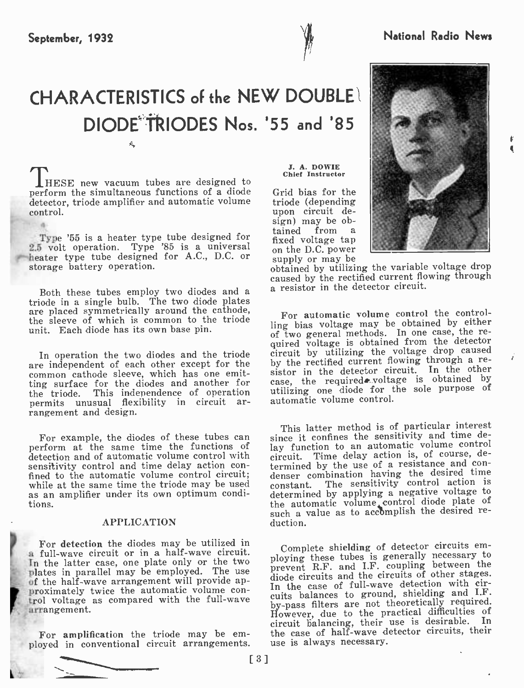4-

## CHARACTERISTICS of the NEW DOUBLE DIODE<sup>®</sup>TRIODES Nos. '55 and '85

IHESE new vacuum tubes are designed to perform the simultaneous functions of a diode detector, triode amplifier and automatic volume control.

Type '55 is a heater type tube designed for  $\frac{\text{tained}}{\text{fixed voltage}}$ . 2.5 volt operation. Type '85 is a universal on the D.C. power heater type tube designed for A.C., D.C. or storage battery operation.

Both these tubes employ two diodes and a a resistor in the detector circuit. triode in a single bulb. The two diode plates are placed symmetrically around the cathode, the sleeve of which is common to the triode unit. Each diode has its own base pin.

In operation the two diodes and the triode are independent of each other except for the common cathode sleeve, which has one emitting surface for the diodes and another for can the triode. This independence of operation permits unusual flexibility in circuit arrangement and design.

For example, the diodes of these tubes can perform at the same time the functions of detection and of automatic volume control with eircuit. Time delay action is, of course, de-<br>sensitivity control and time delay action con-<br>termined by the use of a resistance and confined to the automatic volume control circuit;<br>while at the same time the triode may be used as an amplifier under its own optimum conditions.

#### APPLICATION

trol voltage as compared with the full-wave<br>arrangement. For detection the diodes may be utilized in a full-wave circuit or in a half-wave circuit. In the latter case, one plate only or the two plates in parallel may be employed. The use of the half -wave arrangement will provide approximately twice the automatic volume con-

For amplification the triode may be em-<br>ployed in conventional circuit arrangements. use is always necessary.

#### J. A. DOWIE Chief Instructor

Grid bias for the triode (depending upon circuit design) may be obfixed voltage tap supply or may be



obtained by utilizing the variable voltage drop caused by the rectified current flowing through

For automatic volume control the controlling bias voltage may be obtained by either of two general methods. In one case, the required voltage is obtained from the detector eircuit by utilizing the voltage drop caused<br>by the rectified current flowing through a resistor in the detector circuit. In the other case, the required  $\bullet$  voltage is obtained by utilizing one diode for the sole purpose of automatic volume control.

This latter method is of particular interest since it confines the sensitivity and time delay function to an automatic volume control circuit. Time delay action is, of course, determined by the use of a resistance and con-<br>denser combination having the desired time<br> $\frac{d}{dt}$ constant. The sensitivity control action is determined by applying a negative voltage to the automatic volume control diode plate of such a value as to acc mplish the desired re- duction.

Complete shielding of detector circuits em-<br>ploying these tubes is generally necessary to proying these takes is sensoring between the diode circuits and the circuits of other stages. In the case of full-wave detection with circuits balances to ground, shielding and I.F. by -pass filters are not theoretically required. However, due to the practical difficulties of circuit balancing, their use is desirable. In the case of half-wave detector circuits, their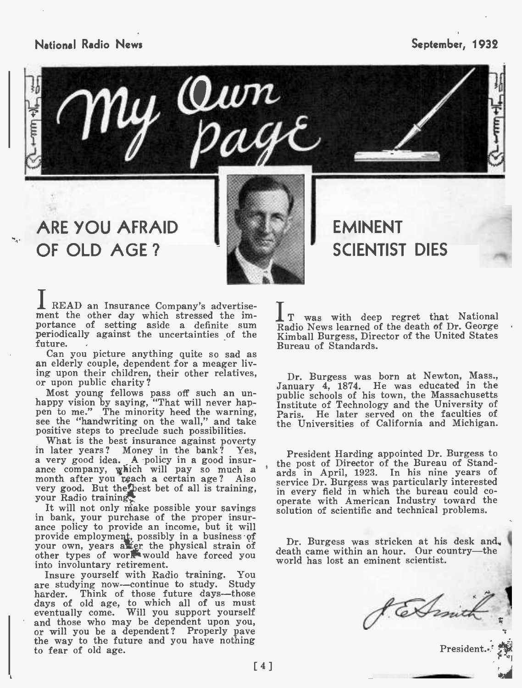National Radio News September, 1932



### ARE YOU AFRAID OF OLD AGE ?



### EMINENT SCIENTIST DIES

READ an Insurance Company's advertisement the other day which stressed the importance of setting aside a definite sum periodically against the uncertainties of the future.<br>Can you picture anything quite so sad as

an elderly couple, dependent for a meager living upon their children, their other relatives,<br>or upon public charity?<br>Most young fellows pass off such an un-

Most young fellows pass off such an un-<br>happy vision by saying, "That will never happen to me." The minority heed the warning, pee the "handwriting on the wall," and take

positive steps to preclude such possibilities.<br>What is the best insurance against poverty<br>in later years? Money in the bank? Yes,<br>a very good idea. A policy in a good insur-<br>ance company, which will pay so much a<br>month aft month after you reach a certain age? very good. But the best bet of all is training, your Radio training.

your Radio training.<br>It will not only make possible your savings on<br>in bank, your purchase of the proper insur-<br>ance policy to provide an income, but it will provide employment, possibly in a business of<br>your own, years aligr the physical strain of other types of work would have forced you<br>into involuntary retirement. into involuntary retirement.<br>Insure yourself with Radio training. You

are studying now--continue to study. Study<br>harder. Think of those future days--those days of old age, to which all of us must<br>eventually come. Will you support yourself and those who may be dependent upon you, or will you be a dependent? Properly pave the way to the future and you have nothing to fear of old age.

IT was with deep regret that National Radio News learned of the death of Dr. George Kimball Burgess, Director of the United States Bureau of Standards.

Dr. Burgess was born at Newton, Mass., January 4, 1874. He was educated in the public schools of his town, the Massachusetts Institute of Technology and the University of Paris. He later served on the faculties of the Universities of California and Michigan.

President Harding appointed Dr. Burgess to the post of Director of the Bureau of Standards in April, 1923. In his nine years of service Dr. Burgess was particularly interested in every field in which the bureau could co- operate with American Industry toward the solution of scientific and technical problems.

Dr. Burgess was stricken at his desk and. death came within an hour. Our country—the world has lost an eminent scientist.

 $f\in\mathcal{G}$ 

President.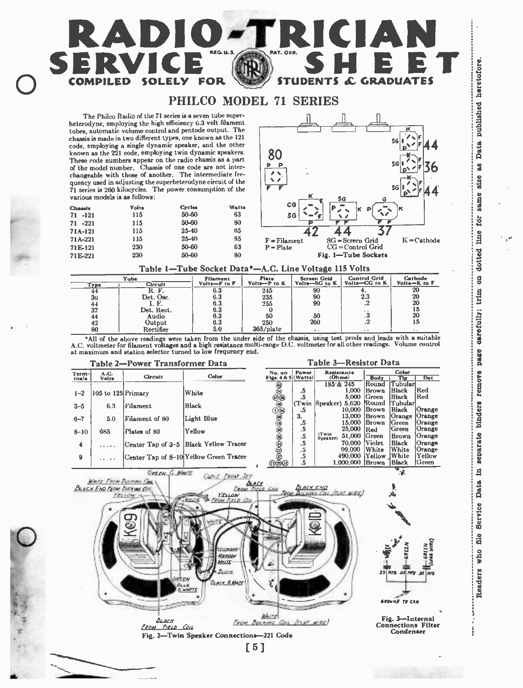### PHILCO MODEL 71 SERIES

SERVICE RPAT. SHEET

RADIO-TRICIAN

The Philco Radio of the 71 series is a seven tube super- heterodyne, employing the high efficiency 6.3 volt filament tubes, automatic volume control and pentode output. The chassis is made in two different types, one known as the <sup>121</sup>code, employing a single dynamic speaker, and the other known as the 221 code, employing twin dynamic speakers.<br>These code numbers appear on the radio chassis as a part of the model number. Chassis of one code are not inte quency used in adjusting the superheterodyne circuit of the <sup>71</sup>series is 260 kilocycles. The power consumption of the various models is as follows:

O COMPI

| <b>Chassis</b><br>$71 - 121$ | Volte<br>115 | <b>Cycles</b><br>50-60 | Watte<br>63 | СG                                   |  |
|------------------------------|--------------|------------------------|-------------|--------------------------------------|--|
| $71 - 221$                   | 115          | 50-60                  | 80          |                                      |  |
| 71A-121                      | 115          | 25-40                  | 65          |                                      |  |
| 71A-221                      | 115          | 25-40                  | 85          | $SG = Screen$ Grid<br>$F =$ Filament |  |
| 71E-121                      | 230          | 50-60                  | 63          | $CG = Control$ Grid<br>$P = Plate$   |  |
| 71E-221                      | 230          | 50-60                  | 80          | Fig. 1-Tube Sockets                  |  |



**T** 

Service Data in separate binders remove page carefully; trim on dotted line

į

......

#### Table 1-Tube Socket Data\*-A.C. Line Voltage 115 Volts

|      |                 |                          |                       | $\sim$                              |                                      |                         |
|------|-----------------|--------------------------|-----------------------|-------------------------------------|--------------------------------------|-------------------------|
| Type | Tube<br>Circult | Filament<br>Volte-F to F | Plate<br>Volta-P to K | <b>Screen Grid</b><br>Volto-SG to K | <b>Control Grid</b><br>Volta-CG to K | Cathode<br>Volta-K to F |
|      |                 | 6.3                      | 245                   | 90                                  |                                      | $_{20}$                 |
| 36   | Det. Osc.       | 6.3                      | 235                   | 90                                  | 2.3                                  | 20                      |
| 44   |                 | 6.3                      | 255                   | 90                                  |                                      | 20                      |
| 37   | Det. Rect.      | 6.3                      |                       |                                     | $\cdots$                             | 15                      |
| 44   | Audio           | 6.3                      | 50                    | 50                                  |                                      | 20                      |
| 42   | Output          | 6.3                      | 250                   | 260                                 |                                      | 15                      |
| 80   | Rectifier       | 5.0                      | 365/plate             | $\cdots$                            | $\cdots$                             | $\sim$                  |

. All of the above readings were taken from the under side of the chassis, using test prods and leads with a suitable A.C. voltmeter for filament voltages and bight residence multi-range D.C. voltmeter for all other readin

|          |                    | Table 2-Power Transformer Data |                                        |                         |       | Table 3-Resistor Data             |               |              |               |
|----------|--------------------|--------------------------------|----------------------------------------|-------------------------|-------|-----------------------------------|---------------|--------------|---------------|
| Term-    | A.C.               | <b>Circuit</b>                 | Color                                  | No. on                  | Power | Resistance                        |               | Color        |               |
| insis    | Volte              |                                |                                        | Figs. $4 & 5$ (Watts)   |       | (Ohme)                            | <b>Body</b>   | TIp          | Dot           |
|          |                    |                                |                                        | $\circledast$           |       | 185 & 245                         | Round         | Tubular      |               |
| $1 - 2$  | 105 to 125 Primary |                                | White                                  | ⊛                       | .5    | 1.000                             | Brown.        | <b>Black</b> | Red           |
|          |                    |                                |                                        |                         | .5    |                                   | $5.000$ Green | Black        | l Red         |
|          |                    |                                |                                        |                         | (Twin | Speaker) 5,620 Round              |               | Tubular      |               |
| $3 - 5$  | 6.3                | Filament                       | Black                                  |                         | .5    | 10,000                            | Brown         | Black        | Orange        |
|          |                    |                                |                                        | $\circledast$ esago     | 3.    | 13,000                            | Brown         | Orange       | <b>Orange</b> |
| $6 - 7$  | 5.0                | Filament of 80                 | Light Blue                             |                         | .5    | 15,000                            | Brown         | Green        | Orange        |
|          |                    |                                |                                        |                         | .5    | 25.000                            | <b>Red</b>    | Green        | Orange        |
| $8 - 10$ | 685                | Plates of 80                   | Yellow                                 |                         |       |                                   |               |              |               |
|          |                    |                                |                                        | $^{\circledR}$          | .5    | (Twin<br>Speaker)<br>51,000 Green |               | Brown        | Orange        |
| 4        | .                  |                                | Center Tap of 3-5  Black Yellow Tracer |                         | .5    | 70.000                            | <b>Violet</b> | Black        | <b>Orange</b> |
|          |                    |                                |                                        | $\frac{\omega}{\omega}$ | .5    | 99.000                            | White         | White        | Orange        |
| 9        |                    |                                | Center Tap of 8-10 Yellow Green Tracer | ☜                       | .5    | 490,000 [Yellow]                  |               | <b>White</b> | Yellow        |
|          | $\cdots$           |                                |                                        | 17) B (13               | .5    | 1,000,000 Brown                   |               | Black        | Green         |



[5]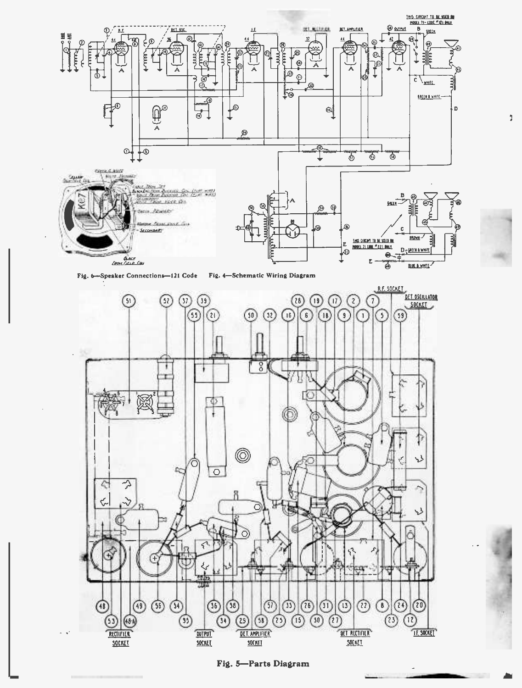

Fig. 5-Parts Diagram

Jim

 $\overline{\phantom{a}}$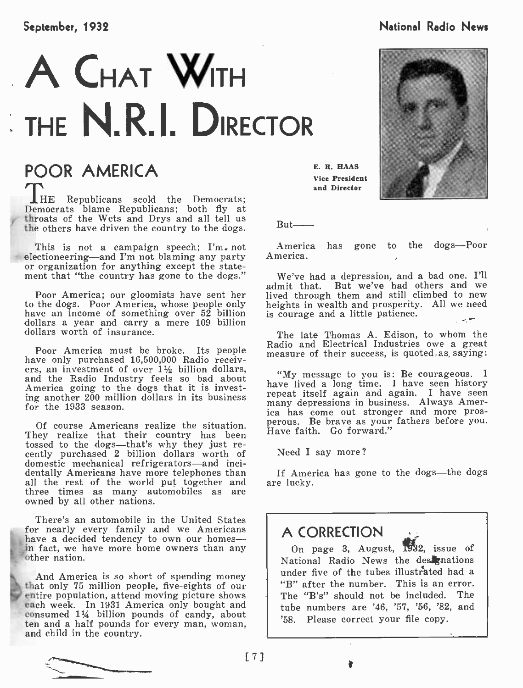# A CHAT WITH **THE N.R.I. DIRECTOR**

## POOR AMERICA

THE Republicans scold the Democrats; Democrats blame Republicans; both fly at <sup>1</sup>throats of the Wets and Drys and all tell us the others have driven the country to the dogs.

This is not a campaign speech; I'm. not electioneering—and I'm not blaming any party or organization for anything except the state-

to the dogs. Poor America, whose people only have an income of something over 52 billion dollars a year and carry a mere 109 billion dollars worth of insurance.

Poor America must be broke. Its people have only purchased 16,500,000 Radio receivers, an investment of over  $1\frac{1}{2}$  billion dollars, and the Radio Industry feels so bad about America going to the dogs that it is investing another 200 million dollars in its business for the 1933 season.

Of course Americans realize the situation. They realize that their country has been tossed to the dogs—that's why they just recently purchased 2 billion dollars worth of domestic mechanical refrigerators—and incidentally Americans have more telephones than all the rest of the world put together and three times as many automobiles as are owned by all other nations.

There's an automobile in the United States<br>for nearly every family and we Americans have a decided tendency to own our homes-<br>in fact, we have more home owners than any<br>other nation.

And America is so short of spending money that only 75 million people, five -eights of our entire population, attend moving picture shows each week. In 1931 America only bought and consumed 114 billion pounds of candy, about ten and a half pounds for every man, woman, and child in the country.

E. R. HAAS Vice President and Director



But-

America has gone to the dogs-Poor America.

ment that "the country has gone to the dogs." We've had a depression, and a bad one. I'll admit that. But we've had others and we Poor America; our gloomists have sent her lived through them and still climbed to new the dogs. Poor America, whose people only heights in wealth and prosperity. All we need We've had a depression, and a bad one. I'll lived through them and still climbed to new is courage and a little patience.

> The late Thomas A. Edison, to whom the Radio and Electrical Industries owe a great measure of their success, is quoted as saying:

> "My message to you is: Be courageous. I have lived a long time. I have seen history repeat itself again and again. I have seen many depressions in business. Always America has come out stronger and more pros-perous. Be brave as your fathers before you. Have faith. Go forward."

Need I say more ?

If America has gone to the dogs-the dogs are lucky.

### A CORRECTION

On page 3, August, 1932, issue of National Radio News the destenations under five of the tubes illustrated had a "B" after the number. This is an error. The "B's" should not be included. The tube numbers are '46, '57, '56, '82, and '58. Please correct your file copy.

### National Radio News

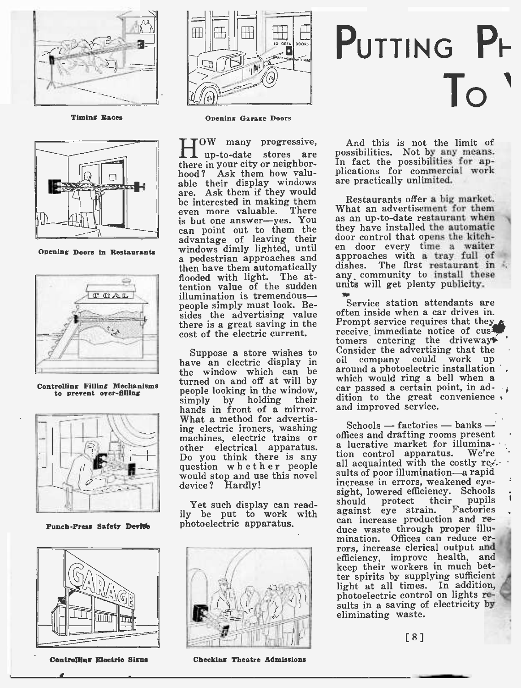

Timing Races



Opening Doors in Restaurants



Controlling Filling Mechanisms to prevent over -filling



Punch-Press Safety Devive



Controlling Electric Signs



Opening Garage Doors

up -to -date stores are there in your city or neighborhood? Ask them how valuable their display windows are. Ask them if they would<br>be interested in making them is but one answer-yes. You can point out to them the advantage of leaving their windows dimly lighted, until a pedestrian approaches and then have them automatically flooded with light. The attention value of the sudden illumination is tremendouspeople simply must look. Besides the advertising value there is a great saving in the cost of the electric current.

Suppose a store wishes to  $\frac{C_{01}}{C_{01}}$ have an electric display in oi the window which can be a people looking in the window,<br>simply by holding their holding their hands in front of a mirror. What a method for advertis-<br>ing electric ironers, washing Do you think there is any question whether people device? Hardly!

Yet such display can readily be put to work with against eye strain. photoelectric apparatus.



Checking Theatre Admissions

# PUTTING PH  $\mathsf{To}$

Tow many progressive, And this is not the limit of<br>not-o-date stores are possibilities. Not by any means. And this is not the limit of In fact the possibilities for ap-<br>plications for commercial work are practically unlimited.

even more valuable. There What an advertisement for them Restaurants offer a big market. as an up-to-date restaurant when they have installed the automatic<br>door control that opens the kitchdoor control that opens the kitch-<br>en door every time a waiter approaches with a tray full of dishes. The first restaurant in any community to install these units will get plenty publicity.

turned on and off at will by which would ring a bell when a<br>noonle looking in the window car passed a certain point, in ad-Service station attendants are often inside when a car drives in. Prompt service requires that they receive immediate notice of cus tomers entering the driveway Consider the advertising that the company could work up around a photoelectric installation dition to the great convenience. and improved service.

ing electric ironers, washing of offices and drafting rooms present<br>other electrical apparatus. a lucrative market for illuminawould stop and use this novel suits of poor illumination—a rapid<br>device? Hardly! increase in errors, weakened eye- $Schools$   $-$  factories  $-$  banks  $$ a lucrative market for illumina-<br>tion control apparatus. We're tion control apparatus. all acquainted with the costly re. sults of poor illumination-a rapid sight, lowered efficiency. Schools<br>should protect their pupils should protect their pupils against eye strain. Factories can increase production and reduce waste through proper illumination. Offices can reduce er-<br>rors, increase clerical output and efficiency, improve health, and keep their workers in much better spirits by supplying sufficient light at all times. In addition, photoelectric control on lights results in a saving of electricity by eliminating waste.

 $[8]$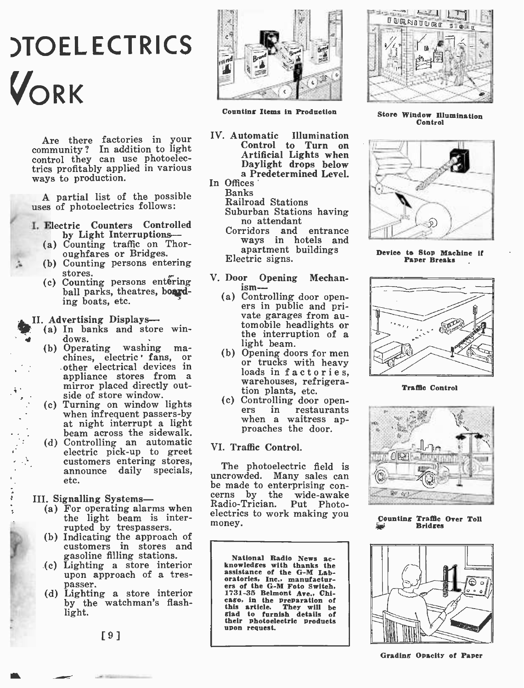## )TOELECTRICS YORK

Are there factories in your <sup>1V</sup> community? In addition to light control they can use photoelectries profitably applied in various ways to production.

<sup>A</sup>partial list of the possible uses of photoelectrics follows:

- I. Electric Counters Controlled tric Counters Controlled a no attendant<br>by Light Interruptions -- Corridors and
	- (a) Counting traffic on Thor-
	- oughfares or Bridges.<br>(b) Counting persons entering stores.
	- $(c)$  Counting persons entering  $V$ . ball parks, theatres, boarding boats, etc.

II. Advertising Displays-

- (a) In banks and store win
	- dows.<br>(b) Operating washing machines, electric fans, or<br>other electrical devices in<br>appliance stores from a mirror placed directly outside of store window.
	- (c) Turning on window lights when infrequent passers-by at night interrupt a light beam across the sidewalk.
	- (d) Controlling an automatic electric pick -up to greet customers entering stores,<br>
	announce daily specials, uncrowded. Many sales can etc.

- (a) For operating alarms when the light beam is interrupted by trespassers.
- (b) Indicating the approach of customers in stores and
- gasoline filling stations. (c) Lighting a store interior upon approach of a tres-<br>passer.
- (d) Lighting a store interior by the watchman's flashlight.



Counting Items In Production

- IV. Automatic Illumination Artificial Lights when Daylight drops below a Predetermined Level.
- In Offices Banks Railroad Stations Suburban Stations having
	- Corridors and entrance
	- ways in hotels and apartment buildings Electric signs.
- V. Door Opening Mechan-<br>ism---
	- (a) Controlling door open-<br>ers in public and private garages from automobile headlights or the interruption of a<br>light beam.<br>(b) Opening doors for men
	- or trucks with heavy loads in factories, warehouses, refrigera-<br>tion plants, etc.
	- (c) Controlling door open-**T** restaurants when a waitress ap-<br>proaches the door.

### VI. Traffic Control.

Euc. be made to enterprising con-<br>III. Signalling Systems—<br>(a) For operating alarms when Radio-Trician. Put Photo-<br>electrics to work making you The photoelectric field is cerns by the wide-awake Radio-Trician. Put Photomoney.

> National Radio News ac-<br>knowledges with thanks the assistance of the G-M Lab-<br>oratories, Inc., manufactur-<br>ers of the G-M Foto Switch,<br>1731-35 Belmont Ave., Chicago, in the preparation of<br>this article. They will be<br>slad to furnish details of their photoelectric products upon request.



Store Window Illumination Control



Device to Stop Machine if Paper Breaks



Traffic Control



Counting Traffic Over Toll Bridges



Grading Opacity of Paper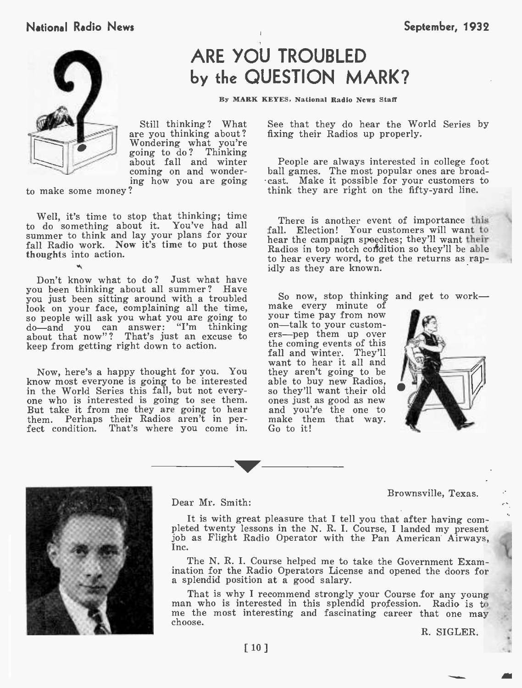

### ARE YOU TROUBLED by the QUESTION MARK?

By MARK KEYES, National Radio News Staff

Still thinking ? What are you thinking about? going to do? Thinking<br>about fall and winter coming on and wondering how you are going

to make some money ?

Well, it's time to stop that thinking; time to do something about it. You've had all  $f_t$ summer to think and lay your plans for your fall Radio work. Now it's time to put those thoughts into action.

Don't know what to do ? Just what have you been thinking about all summer? Have you just been sitting around with a troubled So now, stop thinking<br>look on your face, complaining all the time, make every minute of look on your face, complaining all the time, no people will ask you what you are going to do-and you can answer: "I'm thinking about that now "? That's just an excuse to keep from getting right down to action.

Now, here's a happy thought for you. You know most everyone is going to be interested in the World Series this fall, but not every- one who is interested is going to see them. But take it from me they are going to hear them. Perhaps their Radios aren't in per- fect condition. That's where you come in.

See that they do hear the World Series by fixing their Radios up properly.

People are always interested in college foot ball games. The most popular ones are broadcast. Make it possible for your customers to think they are right on the fifty-yard line.

There is another event of importance this fall. Election! Your customers will want to hear the campaign speeches; they'll want their Radios in top notch condition so they'll be able to hear every word, to get the returns as rap-<br>idly as they are known.

So now, stop thinking and get to work-<br>make every minute of

your time pay from now<br>on—talk to your customers -pep them up over the coming events of this fall and winter. They'll want to hear it all and they aren't going to be  $\int$ able to buy new Radios, so they'll want their old ones just as good as new and you're the one to and you'r'e the one to<br>make them that way. Go to it!



Brownsville, Texas.



Dear Mr. Smith:

It is with great pleasure that I tell you that after having com- pleted twenty lessons in the N. R. I. Course, I landed my present job as Flight Radio Operator with the Pan American Airways, Inc.

The N. R. I. Course helped me to take the Government Examination for the Radio Operators License and opened the doors for a splendid position at a good salary.

That is why I recommend strongly your Course for any young man who is interested in this splendid profession. Radio is to me the most interesting and fascinating career that one may choose.

R. SIGLER.

 $\cdot$  in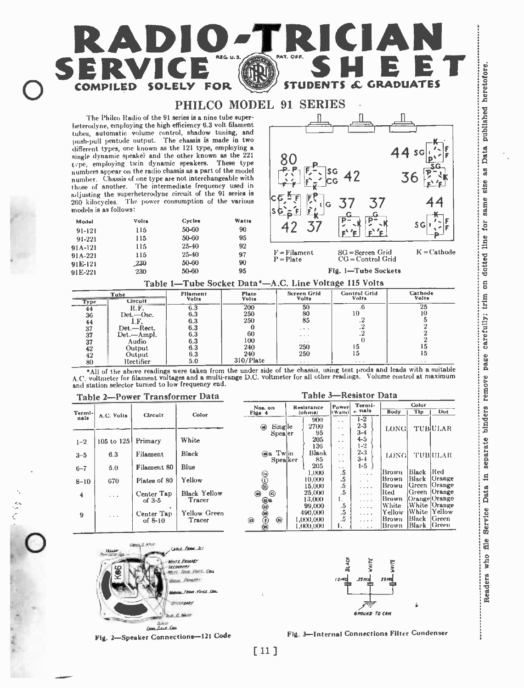### **PHILCO MODEL 91 SERIES**<br>The Philco Radio of the 91 series is a nine tube super-

COMPILED SOLELY FOR  $\gg$  STUDENTS  $\&$  GRADUATES

heterodyne, employing the high efficiency 6.3 volt filament tubes, automatic volume control, shadow tuning, and push-pull pentode output. The chassis is made in two different types, one known as the 121 type, employing a single dynamic speaker and the other known as the 221 type, employing twin dynamic speakers. These type numbers appear on the radio chassis as a part of the model number. Chassis of one type are not interchangeable with those of another. The intermediate frequency used in adjusting the superheterodyne circuit of the 91 series is 2G0 kilocycles. The power consumption of the various models is as follows:

| Model      | Volta | Cycles    | Watts |
|------------|-------|-----------|-------|
| $91 - 121$ | 115   | 50-60     | 90    |
| 91-221     | 115   | 50-60     | 95    |
| $91A-121$  | 115   | $25 - 40$ | 92    |
| 91A-221    | 115   | 25-40     | 97    |
| 91E-121    | 230   | 50-60     | 90    |
| 91E-221    | 230   | 50-60     | 95    |



Fig. 1-Tube Sockets

Table 1-Tube Socket Data\*-A.C. Line Voltage 115 Volts

|           | Tube           | Filament<br>Volta | Plate<br>Volts | Screen Grid<br>Volts | <b>Control Grid</b><br><b>Volts</b> | Cathode<br>Volta |
|-----------|----------------|-------------------|----------------|----------------------|-------------------------------------|------------------|
| Type      | <b>Circuit</b> |                   |                | ---                  |                                     |                  |
| 44        | R.F.           | 6.3               | 200            | 50                   |                                     | 25               |
| 36        | $Det. -Osc.$   | 6.3               | 250            | 80                   | 10                                  |                  |
| 44        |                | 6.3               | 250            | 85                   |                                     |                  |
| 37        | Det.-Rect.     | 6.3               |                | $\cdots$             |                                     |                  |
| 37        | $Det. - Amb.$  | 6.3               | 60             | $\cdots$             |                                     |                  |
| <b>OH</b> | Audio          | 6.3               | 100            | $\cdots$             |                                     |                  |
| 42        | Output         | 6.3               | 240            | 250                  | 15                                  |                  |
| 42        | Output         | 6.3               | 240            | 250                  | 15                                  | 15               |
| 80        | Rectifier      | 5.0               | 310/Plate      | $\sim$ $\sim$        | $\cdots$                            | $\sim$           |

\*All of the above readings were taken from the under side of the chassis, using test prods and leads with a suitable<br>A.C. voltmeter for filament voltages and a multi-range D.C. voltmeter for all other readings. Volume cont

#### Table 2-Power Transformer Data

| Table 3-Resistor Data |  |
|-----------------------|--|
|                       |  |

|                         |                | $1401C + 1000C$ $14010V$ |                     |                          |                     |                      |                 |              |                |                |
|-------------------------|----------------|--------------------------|---------------------|--------------------------|---------------------|----------------------|-----------------|--------------|----------------|----------------|
| Termi-                  |                |                          |                     | Nos. on                  | Resistance<br>(ohn) | Power<br>(Walts)     | Termi-<br>nals. | Body         | Color<br>Tip   | Dot            |
| nals                    | A.C. Volts     | Circuit                  | Color               | Figs 4                   | 900                 | $\ddot{\phantom{0}}$ | $1-2$           |              |                |                |
|                         |                |                          |                     | Single<br>$\circledast$  | 2700                | $\sim$               | $2 - 3$         | LONG         |                | <b>TUBULAR</b> |
|                         |                |                          |                     | Spealer                  | 95                  |                      | $3 - 4$         |              |                |                |
| $1 - 2$                 | $105$ to $125$ | Primary                  | White               |                          | 205                 | $\cdot$ $\cdot$      | $4 - 5$         |              |                |                |
|                         |                |                          |                     |                          | 136                 | $\ddot{\phantom{0}}$ | $1 - 2$         |              |                |                |
| $3 - 5$                 | 6.3            | Filament                 | Black               | @a Twin                  | Blank               | $\sim$               | $2 - 3$         | LONGI        |                | TUBULAR        |
|                         |                |                          |                     | Speaker                  | 85                  | $\sim$               | $3 - 4$         |              |                |                |
| $6 - 7$                 | 5.0            | Filament 80              | Blue                |                          | 205                 | $\cdots$<br>.5       | $1 - 5$         | Brown        | Black Red      |                |
|                         |                |                          |                     | ⊛                        | 1,000<br>10,000     | $.5\,$               | .               | iBrown.      | Black  Orange  |                |
| $8 - 10$                | 670            | Plates of 80             | Yellow              | $\widetilde{\mathbb{Q}}$ | 15,000              | .5                   |                 | Brown        | Circen  Orange |                |
|                         |                | Center Tap               | <b>Black Yellow</b> | ◉<br>⊛                   | 25,000              | .5                   | .<br>1.111      | lRed         | Green Orange   |                |
| $\overline{\mathbf{4}}$ | $\cdots$       | of $3-5$                 | Tracer              |                          | 13,000              | ι.                   | .               | Brown        | Orange Orange  |                |
|                         |                |                          |                     |                          | 99.000              | .5                   | 1.1.1           | White        | White  Orange  |                |
| 9                       | $\cdots$       | Center Tap               | Yellow Green        | $\circledcirc$ 30        | 490,000             | .5                   | 1.1.1           | Yellow       | White Yellow   |                |
|                         |                | of $8-10$                | Tracer              | ۰<br>⊛                   | 1,000,000           | $\sqrt{5}$           | $-1 - 1$        | <b>Brown</b> | Black Green    |                |
|                         |                |                          |                     | ⋒                        | 1.000.000           |                      | $\cdots$        | Brown        | Black  Green   |                |



to the control

a, r





Fig. 3- Internal Connections Filter Condenser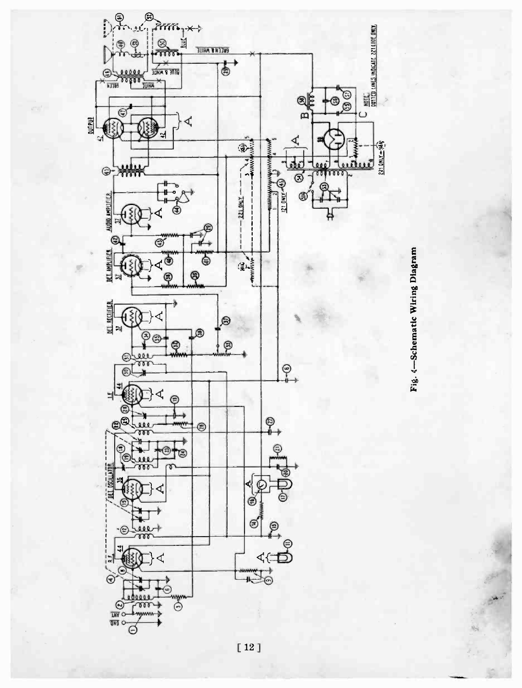

Fig. 4-Schematic Wiring Diagram

[12]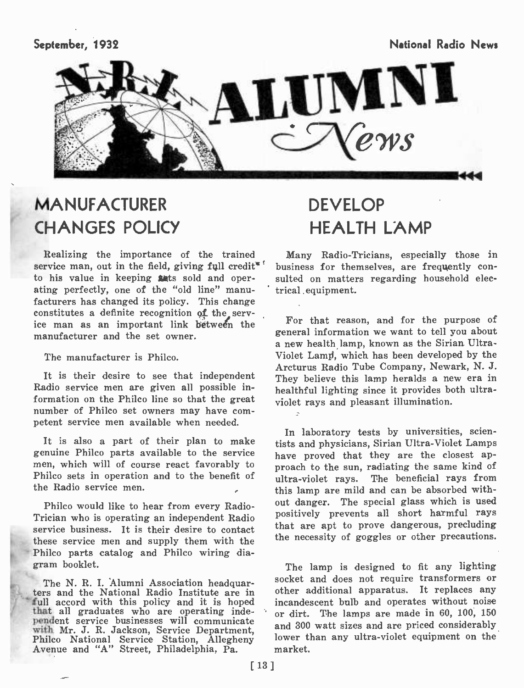

### MANUFACTURER CHANGES POLICY

Realizing the importance of the trained service man, out in the field, giving full credit<sup>\*</sup> to his value in keeping sets sold and operating perfectly, one of the "old line" manufacturers has changed its policy. This change constitutes a definite recognition of the service man as an important link between the manufacturer and the set owner. The manufacturer is Philco.

It is their desire to see that independent Radio service men are given all possible information on the Philco line so that the great number of Philco set owners may have com- petent service men available when needed.

It is also a part of their plan to make genuine Philco parts available to the service men, which will of course react favorably to Philco sets in operation and to the benefit of the Radio service men.

Philco would like to hear from every Radio-Trician who is operating an independent Radio service business. It is their desire to contact these service men and supply them with the Philco parts catalog and Philco wiring diagram booklet.

The N. R. I. Alumni Association headquarters and the National Radio Institute are in full accord with this policy and it is hoped that all graduates who are operating independent service businesses will communicate<br>
with Mr. J. R. Jackson, Service Department,<br>
Philco National Service Station, Allegheny lo<br>
Avenue and "A" Street, Philadelphia, Pa. m

### DEVELOP HEALTH LAMP

Many Radio -Tricians, especially those in business for themselves, are frequently con sulted on matters regarding household electrical . equipment.

For that reason, and for the purpose of general information we want to tell you about a new health lamp, known as the Sirian Ultra-Violet Lamp, which has been developed by the Arcturus Radio Tube Company, Newark, N. J. They believe this lamp heralds a new era in healthful lighting since it provides both ultraviolet rays and pleasant illumination.

In laboratory tests by universities, scientists and physicians, Sirian Ultra- Violet Lamps have proved that they are the closest approach to the sun, radiating the same kind of ultra -violet rays. The beneficial rays from this lamp are mild and can be absorbed without danger. The special glass which is used positively prevents all short harmful rays that are apt to prove dangerous, precluding the necessity of goggles or other precautions.

The lamp is designed to fit any lighting socket and does not require transformers or other additional apparatus. It replaces any incandescent bulb and operates without noise or dirt. The lamps are made in 60, 100, 150 and 300 watt sizes and are priced considerably lower than any ultra-violet equipment on the market.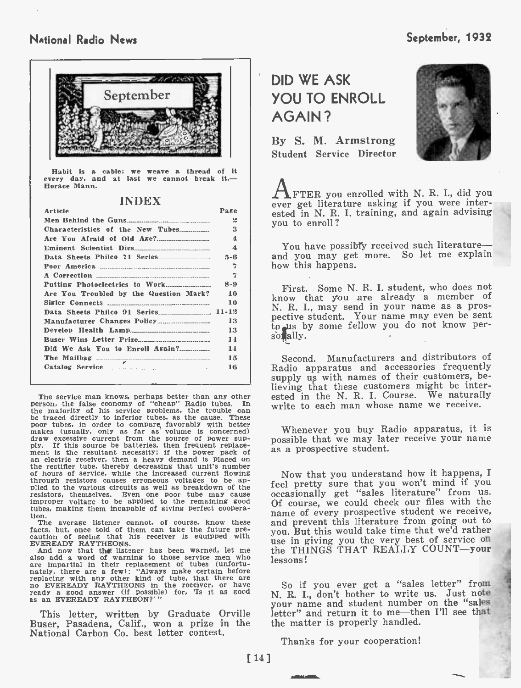

Habit is a cable; we weave a thread of it every day, and at last we cannot break it.-Horace Mann.

INDEX

| $\mathfrak{L}$<br>3<br>$\mathbf{4}$<br>4<br>$\overline{a}$<br>÷, |
|------------------------------------------------------------------|
|                                                                  |
|                                                                  |
|                                                                  |
|                                                                  |
|                                                                  |
|                                                                  |
|                                                                  |
| $8 - 9$                                                          |
| Are You Troubled by the Question Mark?<br>10                     |
| 10                                                               |
|                                                                  |
| 13                                                               |
| 13<br>Develop Health Lamp.                                       |
| 14                                                               |
| Did We Ask You to Enroll Again?<br>14                            |
| 15                                                               |
| 16                                                               |
|                                                                  |

The service man knows, perhaps better than any other person, the false economy of "cheap" Radio tubes. In the majority of his service problems, the trouble can be traced directly to inferior tubes, as the cause. These poor tubes, in order to compare, favorably with better makes (usually, only as far as volume is concerned) draw excessive current from the source of power sup-<br>ply. If this source be batteries, then frequent replacement is the resultant necessity; if the power pack of an electric receiver, then a heavy demand is placed on<br>an electric receiver, then a heavy demand is placed on<br>the rectifier tube, thereby decreasing that unit's number of hours of service, while the increasing that unit's number<br>of hours of service, while the increased current flowing<br>through resistors causes erroneous voltages to be ap-<br>plied to the various circuits as well as breakdown resistors, themselves. Even one poor tube may cause improper voltage to be applied to the remaining good tubes, making them incapable of giving perfect coopera- tion.

facts, but, once told of them can take the future pre-<br>caution of seeing that his receiver is equipped with<br>EVEREADY RAYTHEONS.

And now that the listener has been warned, let me also add a word of warning to those service men who are impartial in their replacement of tubes (unfortu-nately, there are a few): "Always make certain before replacing with any other kind of tube, that there are no EVEREADY RAYTHEONS in the receiver, or have ready a good answer (if possible) for, 'Is it as good as an EVEREADY RAYTHEON?'"

This letter, written by Graduate Orville Buser, Pasadena, Calif., won a prize in the National Carbon Co. best letter contest.

### DID WE ASK YOU TO ENROLL AGAIN ?

By S. M. Armstrong Student Service Director



AFTER you enrolled with N. R. I., did you ever get literature asking if you were interested in N. R. I. training, and again advising you to enroll?

You have possibly received such literatureand you may get more. So let me explain how this happens.

First. Some N. R. I. student, who does not know that you are already a member of N. R. I., may send in your name as a prospective student. Your name may even be sent to us by some fellow you do not know per-<br>so, ally.

Second. Manufacturers and distributors of Radio apparatus and accessories frequently supply us with names of their customers, believing that these customers might be interested in the N. R. I. Course. We naturally write to each man whose name we receive.

Whenever you buy Radio apparatus, it is possible that we may later receive your name as a prospective student.

The average listener cannot, of course, know these and prevent this literature from going out to<br>cats, but, once told of them can take the future pre-<br>wou. But this would take time that we'd rather Now that you understand how it happens, I feel pretty sure that you won't mind if you Of course, we could check our files with the name of every prospective student we receive, and prevent this literature from going out to you the very best of service on the THINGS THAT REALLY COUNT-your lessons!

> So if you ever get a "sales letter" from N. R. I., don't bother to write us. Just note your name and student number on the "sales letter" and return it to me-then I'll see that the matter is properly handled.

Thanks for your cooperation!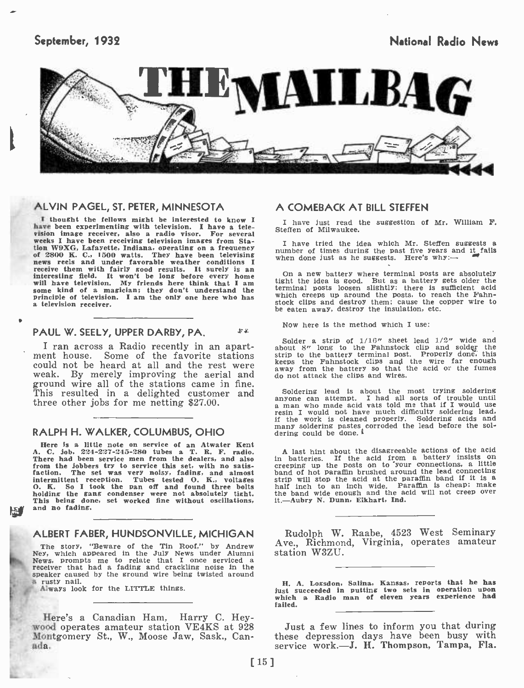

#### ALVIN PAGEL, ST. PETER, MINNESOTA

I thought the fellows might be interested to know I have been experimenting with television. I have a television image receiver, also a radio visor. For several weeks I have been receiving television images from Sta-<br>tion W9XG, Lafayette, Indiana, operating on a frequency of 2800 K. C., 1500 watts. They have been televising news reels and under favorable weather conditions I receive them with fairly good results. It surely is an interesting field. It won't be long before every home will have television. My friends here think that I am will have television. My friends here think that I am two some kind of a magician; they don't understand the principle of television. I am the only one here who has a television receiver.

#### æ. PAUL W. SEELY, UPPER DARBY, PA.

I ran across a Radio recently in an apart-<br>ment house. Some of the favorite stations strip to the battery terminal post. could not be heard at all and the rest were weak. By merely improving the aerial and ground wire all of the stations came in fine. This resulted in a delighted customer and three other jobs for me netting \$27.00.

#### RALPH H. WALKER, COLUMBUS, OHIO

Here is a little note on service of an Atwater Kent A. C. Job. 224 -227 -245 -280 tubes a T. R. F. radio. There had been service men from the dealers, and also from the Jobbers try to service this set, with no satis-<br>faction. The set was very noisy, fading, and almost lintermittent reception. Tubes tested O. K., voltages of<br>O. K. So I took the pan off and found three bolts 1 holding the gang condenser were not absolutely tight. This being done, set worked fine without oscillations, and no fading.

#### ALBERT FABER, HUNDSONVILLE, MICHIGAN

The story, "Beware of the Tin Roof," by Andrew Ney, which appeared in the July News under Alumni News, prompts me to relate that I once serviced a receiver that had a fading and crackling noise in the speaker caused by the ground wire being twisted around a rusty nail.

Always look for the LITTLE things.

Here's a Canadian Ham. Harry C. Hey - wood operates amateur station VE4KS at <sup>928</sup> Montgomery St., W., Moose Jaw, Sask., Can-ada.

### A COMEBACK AT BILL STEFFEN

I have just read the suggestion of Mr. William F. Steffen of Milwaukee.

<sup>I</sup>have tried the idea which Mr. Steffen suggests a number of times during the past five years and it fails when done just as he suggests. Here's  $why:$ 

On a new battery where terminal posts are absolutely tight the idea is good. But as a battery gets older the terminal posts loosen slightly; there is sufficient acid which creeps up around the posts, to reach the Fahn-<br>stock clips and destroy them; cause the copper wire to<br>be eaten away, destroy the insulation, etc.

Now here is the method which I use:<br>
Solder a strip of  $1/16$ " sheet lead  $1/2$ " wide and<br>
about 8" long to the Fahnstock clip and solder the<br>
strip to the battery terminal post. Properly done, this keeps the Fahnstock clips and the wire far enough away from the battery so that the acid or the fumes do not attack the clips and wires.

Soldering lead is about the most trying soldering<br>anyone can attempt. I had all sorts of trouble until<br>a man who made acid vats told me that if I would use<br>resin I would not have much difficulty soldering lead,<br>if the work many soldering pastes corroded the lead before the sol-<br>dering could be done.<sup>\*</sup>

<sup>A</sup>last hint about the disagreeable actions of the acid in batteries. If the acid from a battery insists on creeping up the posts on to your connections, a little band of hot paraffin brushed around the lead connecting strip will stop the acid at the paraffin band if it is a half inch to an inch wide. Paraffin is cheap; make the band wide enough and the acid will not creep over it. - Aubry N. Dunn, Elkhart, Ind.

Rudolph W. Raabe, 4523 West Seminary Ave., Richmond, Virginia, operates amateur station W3ZU.

H. A. Logsdon, Salina, Kansas, reports that he has just succeeded in putting two sets in operation upon which a Radio man of eleven years experience had failed.

Just a few lines to inform you that during these depression days have been busy with service work.-J. H. Thompson, Tampa, Fla.